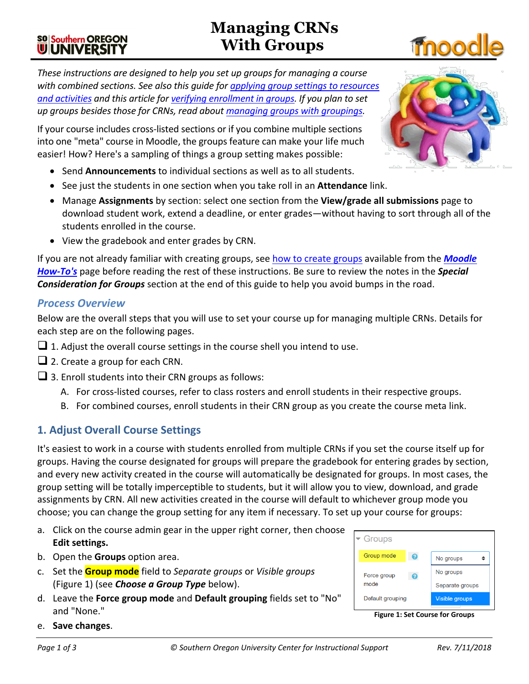# **Managing CRNs With Groups**

*These instructions are designed to help you set up groups for managing a course with combined sections. See also this guide for [applying group settings to resources](https://inside.sou.edu/assets/cis/distanceeducation/docs/moodle/apply-group-settings.pdf)  [and activities](https://inside.sou.edu/assets/cis/distanceeducation/docs/moodle/apply-group-settings.pdf) and this article for [verifying enrollment in groups.](https://inside.sou.edu/assets/cis/distanceeducation/docs/moodle/check-enrollment.pdf) If you plan to set up groups besides those for CRNs, read about [managing groups with groupings.](https://inside.sou.edu/assets/cis/distanceeducation/docs/moodle/groupings.pdf)*

If your course includes cross-listed sections or if you combine multiple sections into one "meta" course in Moodle, the groups feature can make your life much easier! How? Here's a sampling of things a group setting makes possible:

- Send **Announcements** to individual sections as well as to all students.
- See just the students in one section when you take roll in an **Attendance** link.
- Manage **Assignments** by section: select one section from the **View/grade all submissions** page to download student work, extend a deadline, or enter grades—without having to sort through all of the students enrolled in the course.
- View the gradebook and enter grades by CRN.

If you are not already familiar with creating groups, see [how to create groups](https://inside.sou.edu/assets/distanceeducation/docs/moodle/groups.pdf) available from the *[Moodle](https://inside.sou.edu/cis/moodle.html)  [How-To's](https://inside.sou.edu/cis/moodle.html)* page before reading the rest of these instructions. Be sure to review the notes in the *Special Consideration for Groups* section at the end of this guide to help you avoid bumps in the road.

#### *Process Overview*

Below are the overall steps that you will use to set your course up for managing multiple CRNs. Details for each step are on the following pages.

- $\Box$  1. Adjust the overall course settings in the course shell you intend to use.
- $\Box$  2. Create a group for each CRN.
- $\Box$  3. Enroll students into their CRN groups as follows:
	- A. For cross-listed courses, refer to class rosters and enroll students in their respective groups.
	- B. For combined courses, enroll students in their CRN group as you create the course meta link.

## **1. Adjust Overall Course Settings**

It's easiest to work in a course with students enrolled from multiple CRNs if you set the course itself up for groups. Having the course designated for groups will prepare the gradebook for entering grades by section, and every new activity created in the course will automatically be designated for groups. In most cases, the group setting will be totally imperceptible to students, but it will allow you to view, download, and grade assignments by CRN. All new activities created in the course will default to whichever group mode you choose; you can change the group setting for any item if necessary. To set up your course for groups:

- a. Click on the course admin gear in the upper right corner, then choose **Edit settings.**
- b. Open the **Groups** option area.
- c. Set the **Group mode** field to *Separate groups* or *Visible groups* [\(Figure 1\)](#page-0-0) (see *Choose a Group Type* below).
- d. Leave the **Force group mode** and **Default grouping** fields set to "No" and "None."
- e. **Save changes**.

No groups

No groups

Separate groups

Visible groups

 $\div$ 

**Figure 1: Set Course for Groups**



<span id="page-0-0"></span>Default grouping



# **SO Southern OREGON UIUNIVERSITY**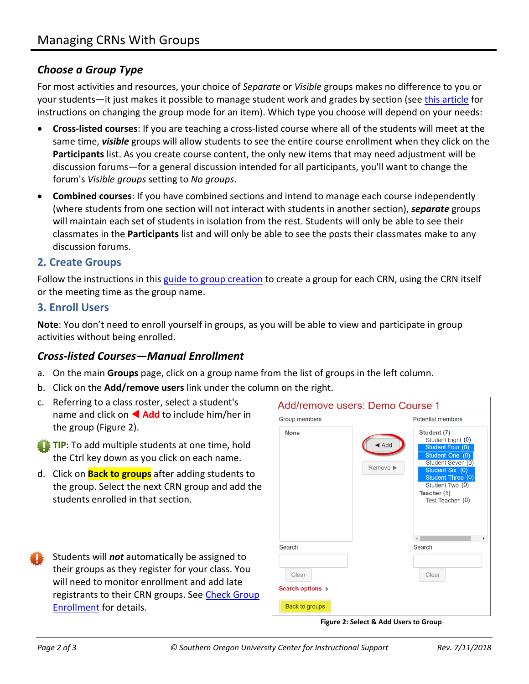# *Choose a Group Type*

For most activities and resources, your choice of *Separate* or *Visible* groups makes no difference to you or your students—it just makes it possible to manage student work and grades by section (see [this article](https://inside.sou.edu/assets/cis/distanceeducation/docs/moodle/apply-group-settings.pdf) for instructions on changing the group mode for an item). Which type you choose will depend on your needs:

- **Cross-listed courses**: If you are teaching a cross-listed course where all of the students will meet at the same time, *visible* groups will allow students to see the entire course enrollment when they click on the **Participants** list. As you create course content, the only new items that may need adjustment will be discussion forums—for a general discussion intended for all participants, you'll want to change the forum's *Visible groups* setting to *No groups*.
- **Combined courses**: If you have combined sections and intend to manage each course independently (where students from one section will not interact with students in another section), *separate* groups will maintain each set of students in isolation from the rest. Students will only be able to see their classmates in the **Participants** list and will only be able to see the posts their classmates make to any discussion forums.

#### **2. Create Groups**

Follow the instructions in this [guide to group creation](https://inside.sou.edu/assets/distanceeducation/docs/moodle/groups.pdf) to create a group for each CRN, using the CRN itself or the meeting time as the group name.

#### **3. Enroll Users**

**Note**: You don't need to enroll yourself in groups, as you will be able to view and participate in group activities without being enrolled.

## *Cross-listed Courses—Manual Enrollment*

- a. On the main **Groups** page, click on a group name from the list of groups in the left column.
- b. Click on the **Add/remove users** link under the column on the right.
- c. Referring to a class roster, select a student's name and click on **Add** to include him/her in the group [\(Figure 2\)](#page-1-0).
- **TIP:** To add multiple students at one time, hold the Ctrl key down as you click on each name.
- d. Click on **Back to groups** after adding students to the group. Select the next CRN group and add the students enrolled in that section.
- Students will *not* automatically be assigned to their groups as they register for your class. You will need to monitor enrollment and add late registrants to their CRN groups. See [Check Group](https://inside.sou.edu/assets/cis/distanceeducation/docs/moodle/check-enrollment.pdf)  [Enrollment](https://inside.sou.edu/assets/cis/distanceeducation/docs/moodle/check-enrollment.pdf) for details.

<span id="page-1-0"></span>

**Figure 2: Select & Add Users to Group**